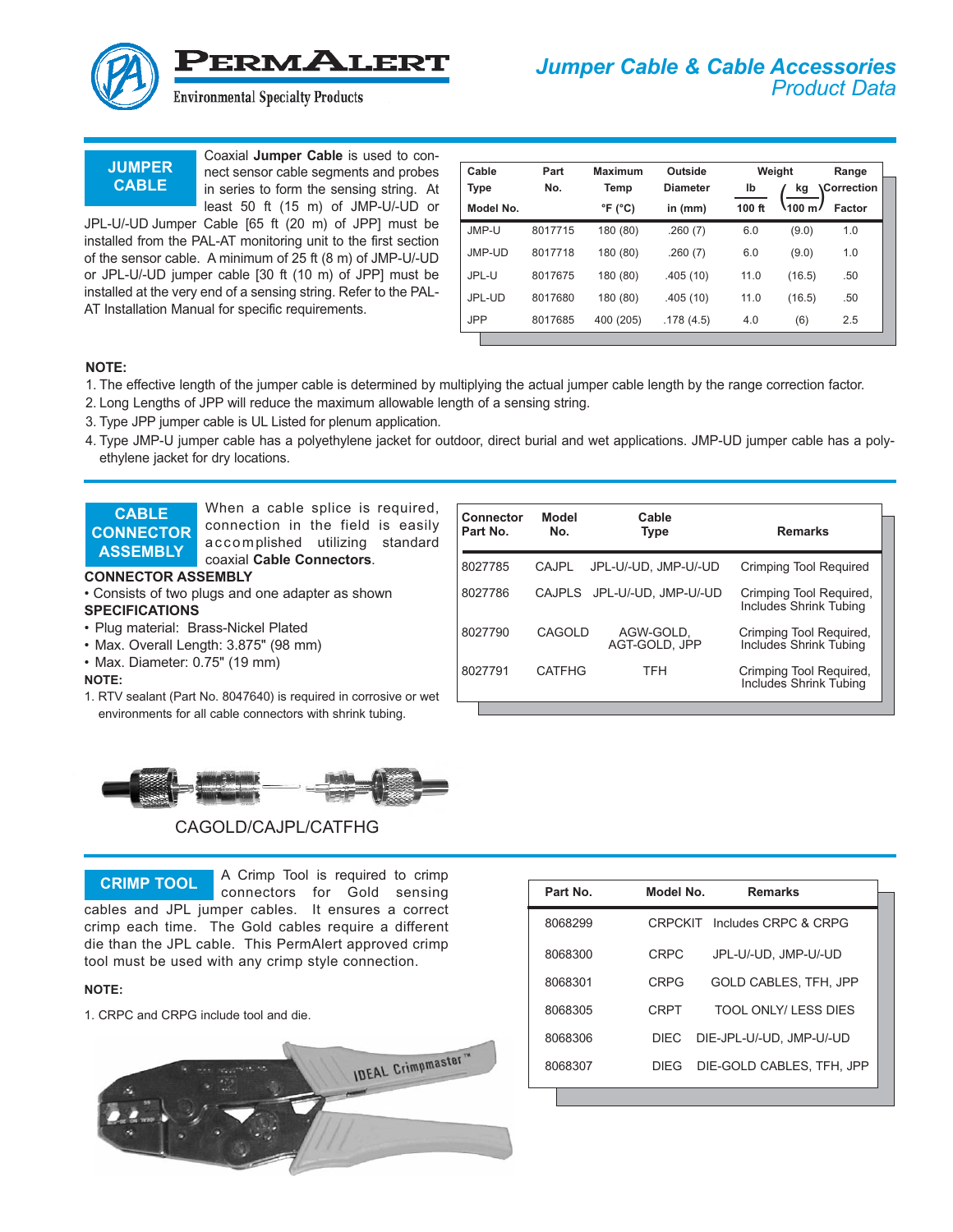

**JUMPER CABLE**

Coaxial **Jumper Cable** is used to connect sensor cable segments and probes in series to form the sensing string. At least 50 ft (15 m) of JMP-U/-UD or

JPL-U/-UD Jumper Cable [65 ft (20 m) of JPP] must be installed from the PAL-AT monitoring unit to the first section of the sensor cable. A minimum of 25 ft (8 m) of JMP-U/-UD or JPL-U/-UD jumper cable [30 ft (10 m) of JPP] must be installed at the very end of a sensing string. Refer to the PAL-AT Installation Manual for specific requirements.

| Cable      | Part    | Maximum                    | Outside         |        | Weight  | Range              |
|------------|---------|----------------------------|-----------------|--------|---------|--------------------|
| Type       | No.     | Temp                       | <b>Diameter</b> | lb     | kg      | <b>،Correction</b> |
| Model No.  |         | $\degree$ F ( $\degree$ C) | in $(mm)$       | 100 ft | \100 mJ | Factor             |
| JMP-U      | 8017715 | 180 (80)                   | .260(7)         | 6.0    | (9.0)   | 1.0                |
| JMP-UD     | 8017718 | 180 (80)                   | .260(7)         | 6.0    | (9.0)   | 1.0                |
| JPL-U      | 8017675 | 180 (80)                   | .405(10)        | 11.0   | (16.5)  | .50                |
| JPL-UD     | 8017680 | 180 (80)                   | .405(10)        | 11.0   | (16.5)  | .50                |
| <b>JPP</b> | 8017685 | 400 (205)                  | .178(4.5)       | 4.0    | (6)     | 2.5                |

### **NOTE:**

- 1. The effective length of the jumper cable is determined by multiplying the actual jumper cable length by the range correction factor.
- 2. Long Lengths of JPP will reduce the maximum allowable length of a sensing string.
- 3. Type JPP jumper cable is UL Listed for plenum application.
- 4. Type JMP-U jumper cable has a polyethylene jacket for outdoor, direct burial and wet applications. JMP-UD jumper cable has a polyethylene jacket for dry locations.

**CABLE CONNECTOR ASSEMBLY**

When a cable splice is required, connection in the field is easily accomplished utilizing standard coaxial **Cable Connectors**.

#### **CONNECTOR ASSEMBLY**

- Consists of two plugs and one adapter as shown
- **SPECIFICATIONS**
- Plug material: Brass-Nickel Plated
- Max. Overall Length: 3.875" (98 mm)
- Max. Diameter: 0.75" (19 mm)

#### **NOTE:**

1. RTV sealant (Part No. 8047640) is required in corrosive or wet environments for all cable connectors with shrink tubing.

| Connector<br>Part No. | Model<br>No.  | Cable<br><b>Type</b>        | <b>Remarks</b>                                           |
|-----------------------|---------------|-----------------------------|----------------------------------------------------------|
| 8027785               | <b>CAJPL</b>  | JPL-U/-UD. JMP-U/-UD        | <b>Crimping Tool Required</b>                            |
| 8027786               |               | CAJPLS JPL-U/-UD. JMP-U/-UD | Crimping Tool Required,<br>Includes Shrink Tubing        |
| 8027790               | CAGOLD        | AGW-GOLD,<br>AGT-GOLD, JPP  | Crimping Tool Required,<br><b>Includes Shrink Tubing</b> |
| 8027791               | <b>CATFHG</b> | <b>TFH</b>                  | Crimping Tool Required,<br><b>Includes Shrink Tubing</b> |



# CAGOLD/CAJPL/CATFHG

A Crimp Tool is required to crimp connectors for Gold sensing cables and JPL jumper cables. It ensures a correct crimp each time. The Gold cables require a different die than the JPL cable. This PermAlert approved crimp tool must be used with any crimp style connection. **CRIMP TOOL**

#### **NOTE:**

1. CRPC and CRPG include tool and die.



| Part No. | Model No.   | <b>Remarks</b>               |
|----------|-------------|------------------------------|
| 8068299  |             | CRPCKIT Includes CRPC & CRPG |
| 8068300  | CRPC        | JPL-U/-UD. JMP-U/-UD         |
| 8068301  | <b>CRPG</b> | <b>GOLD CABLES, TFH, JPP</b> |
| 8068305  | <b>CRPT</b> | TOOL ONLY/LESS DIES          |
| 8068306  | DIEC        | DIE-JPL-U/-UD. JMP-U/-UD     |
| 8068307  | DIEG        | DIE-GOLD CABLES, TFH, JPP    |